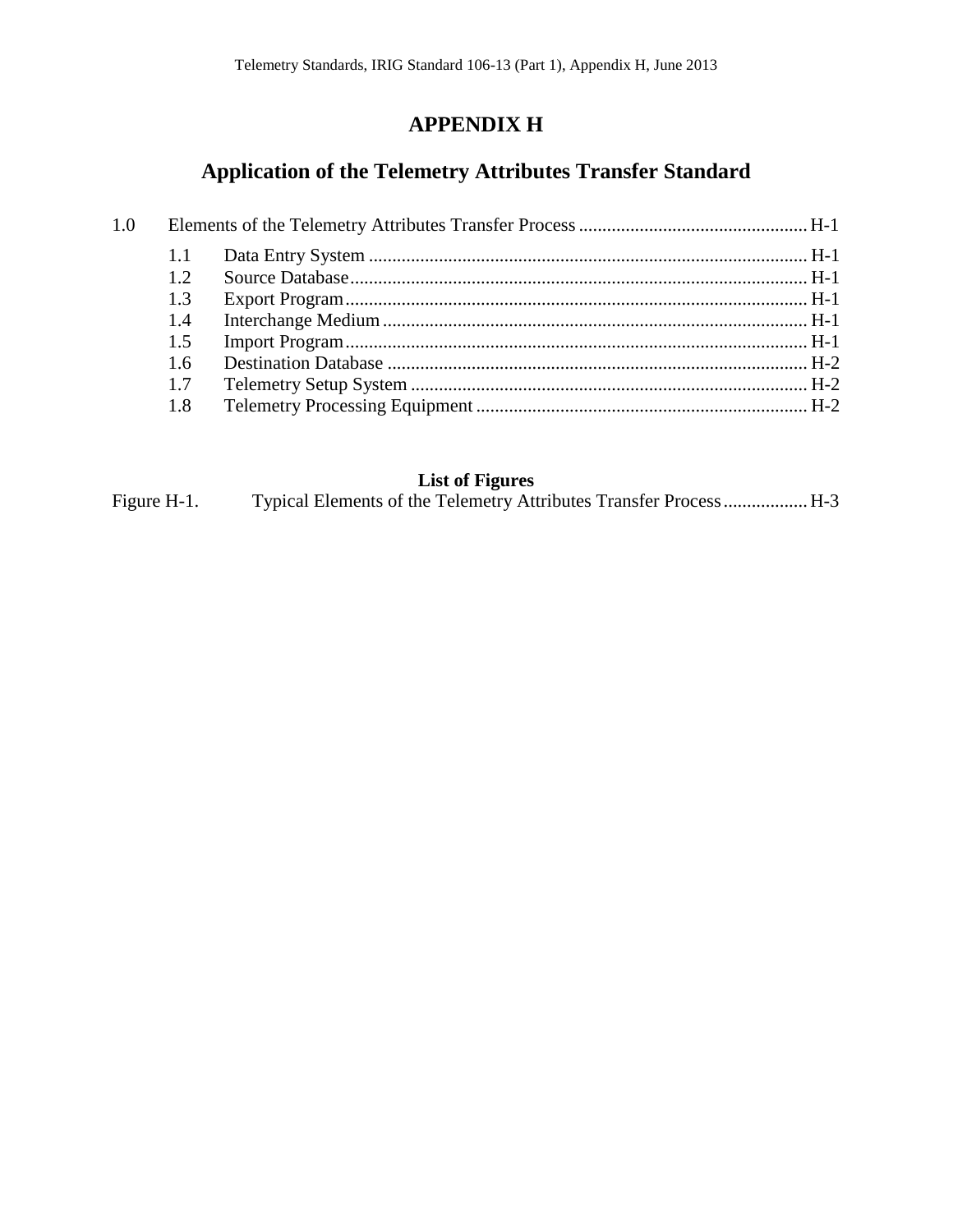# **APPENDIX H**

# **Application of the Telemetry Attributes Transfer Standard**

| 1.0 |     |  |  |
|-----|-----|--|--|
|     | 1.1 |  |  |
|     | 12  |  |  |
|     | 1.3 |  |  |
|     | 1.4 |  |  |
|     | 1.5 |  |  |
|     | 1.6 |  |  |
|     | 1.7 |  |  |
|     | 1.8 |  |  |
|     |     |  |  |

### **List of Figures**

| Figure H-1. | Typical Elements of the Telemetry Attributes Transfer Process  H-3 |  |
|-------------|--------------------------------------------------------------------|--|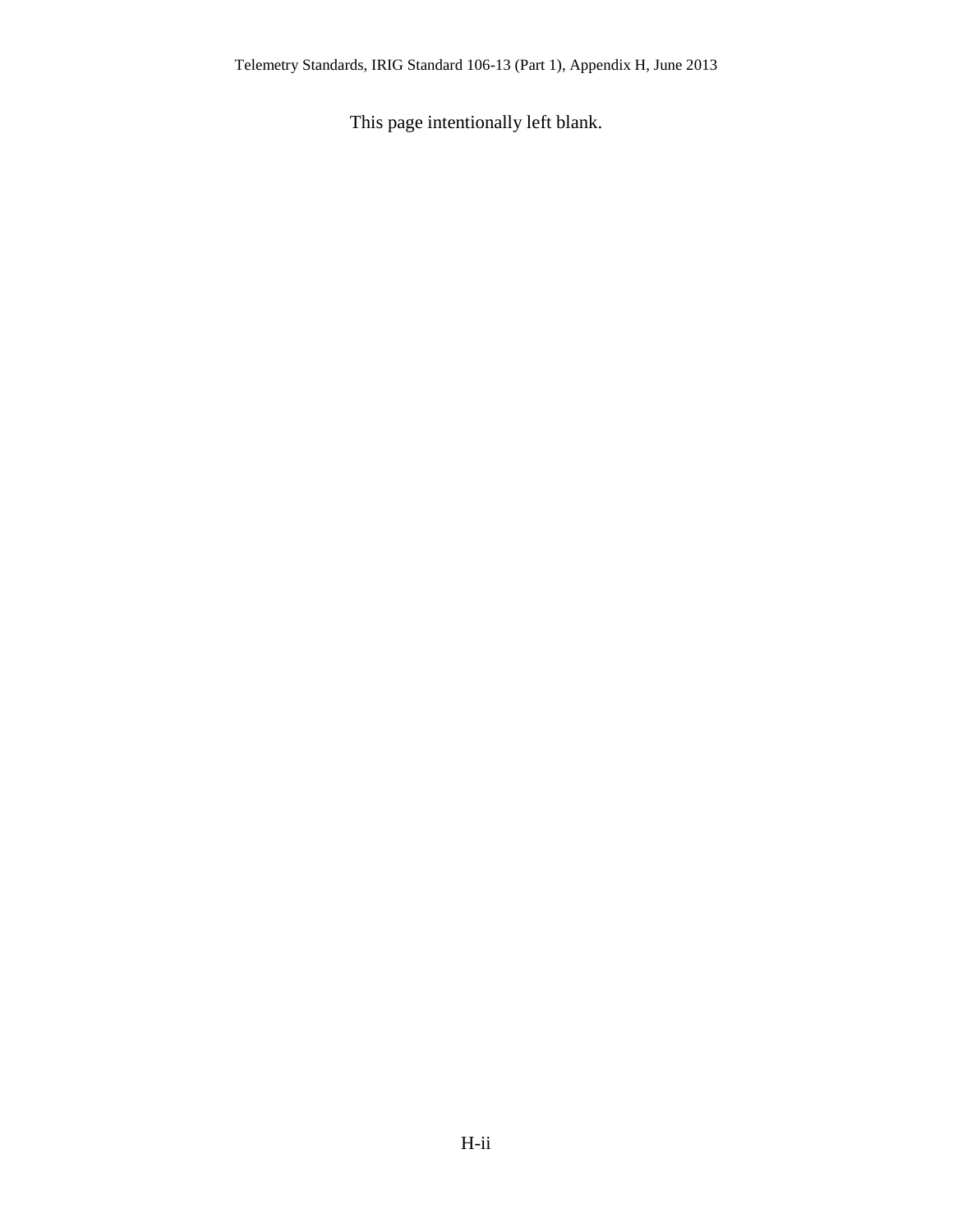This page intentionally left blank.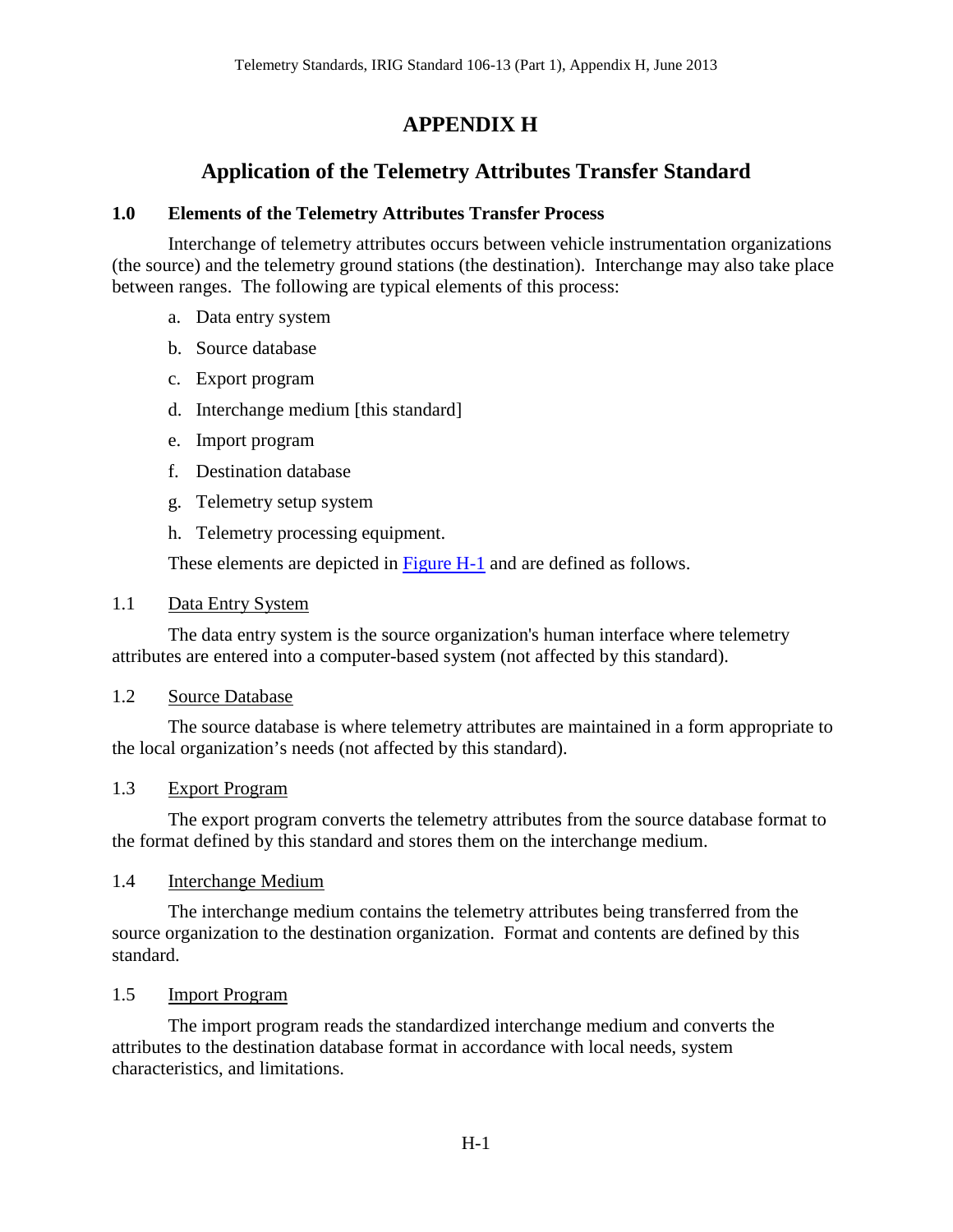## **APPENDIX H**

## **Application of the Telemetry Attributes Transfer Standard**

#### <span id="page-2-0"></span>**1.0 Elements of the Telemetry Attributes Transfer Process**

Interchange of telemetry attributes occurs between vehicle instrumentation organizations (the source) and the telemetry ground stations (the destination). Interchange may also take place between ranges. The following are typical elements of this process:

- a. Data entry system
- b. Source database
- c. Export program
- d. Interchange medium [this standard]
- e. Import program
- f. Destination database
- g. Telemetry setup system
- h. Telemetry processing equipment.

These elements are depicted in [Figure H-1](#page-4-0) and are defined as follows.

### <span id="page-2-1"></span>1.1 Data Entry System

The data entry system is the source organization's human interface where telemetry attributes are entered into a computer-based system (not affected by this standard).

### <span id="page-2-2"></span>1.2 Source Database

The source database is where telemetry attributes are maintained in a form appropriate to the local organization's needs (not affected by this standard).

### <span id="page-2-3"></span>1.3 Export Program

The export program converts the telemetry attributes from the source database format to the format defined by this standard and stores them on the interchange medium.

### <span id="page-2-4"></span>1.4 Interchange Medium

The interchange medium contains the telemetry attributes being transferred from the source organization to the destination organization. Format and contents are defined by this standard.

### <span id="page-2-5"></span>1.5 Import Program

The import program reads the standardized interchange medium and converts the attributes to the destination database format in accordance with local needs, system characteristics, and limitations.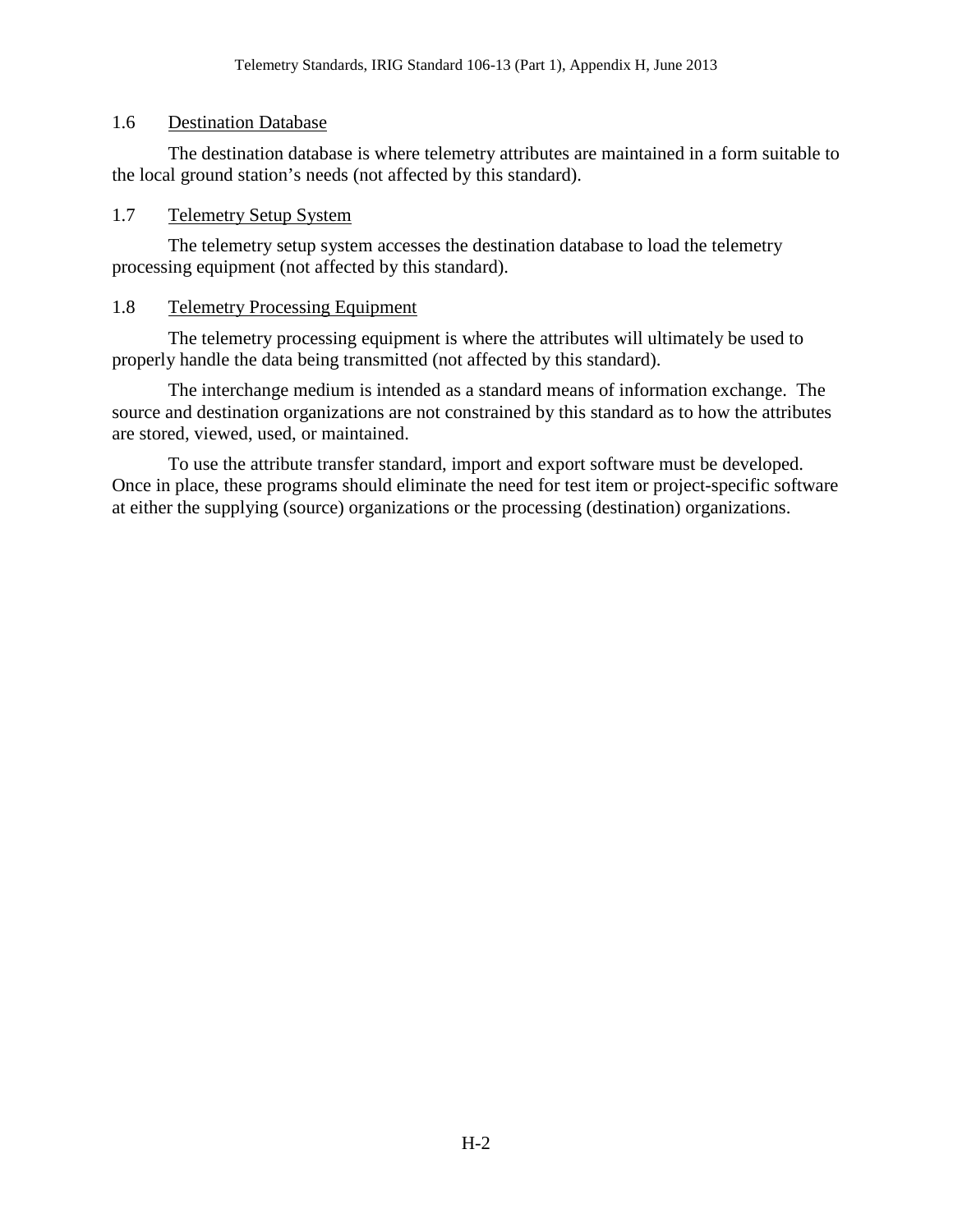#### <span id="page-3-0"></span>1.6 Destination Database

The destination database is where telemetry attributes are maintained in a form suitable to the local ground station's needs (not affected by this standard).

#### <span id="page-3-1"></span>1.7 Telemetry Setup System

The telemetry setup system accesses the destination database to load the telemetry processing equipment (not affected by this standard).

#### <span id="page-3-2"></span>1.8 Telemetry Processing Equipment

The telemetry processing equipment is where the attributes will ultimately be used to properly handle the data being transmitted (not affected by this standard).

The interchange medium is intended as a standard means of information exchange. The source and destination organizations are not constrained by this standard as to how the attributes are stored, viewed, used, or maintained.

To use the attribute transfer standard, import and export software must be developed. Once in place, these programs should eliminate the need for test item or project-specific software at either the supplying (source) organizations or the processing (destination) organizations.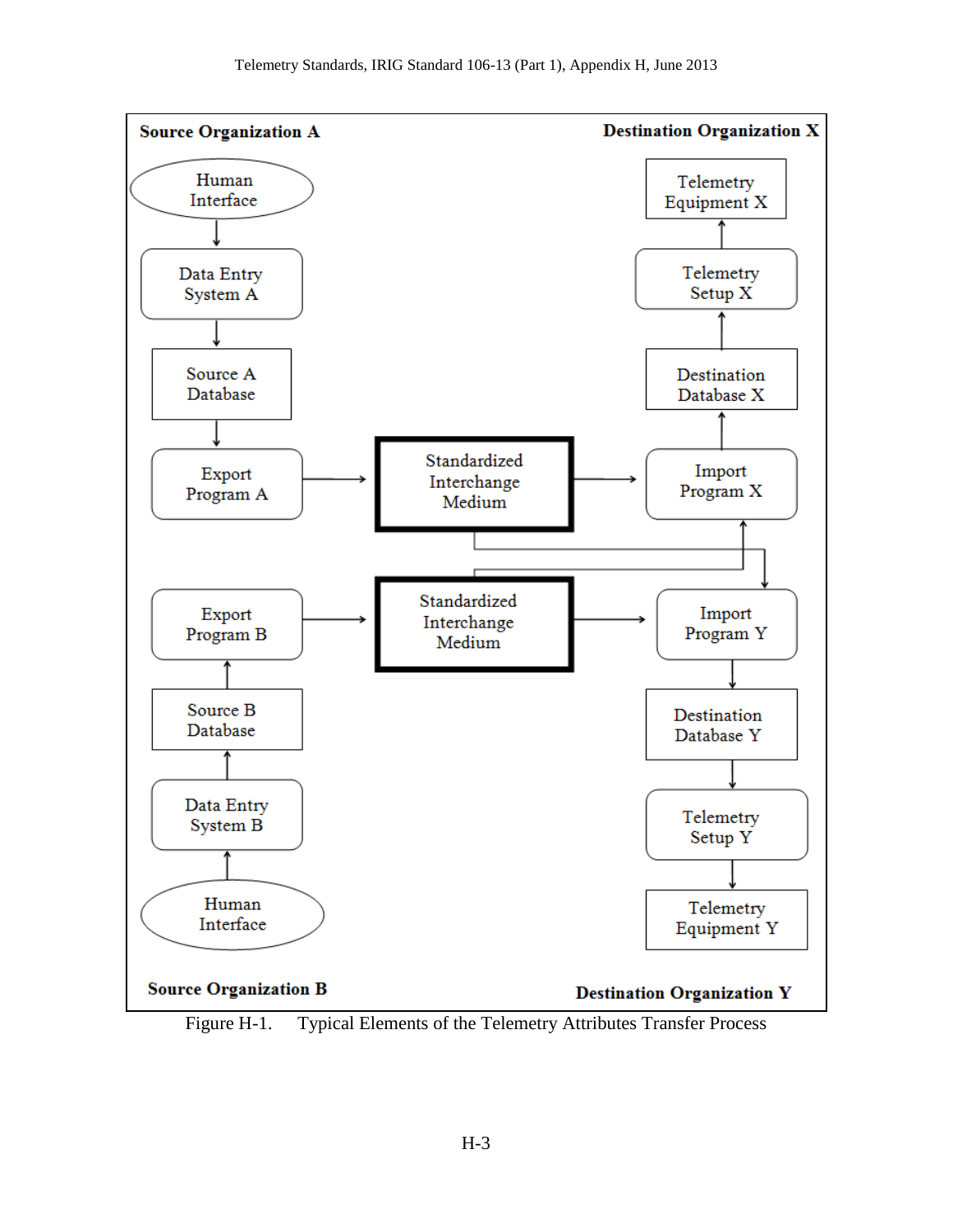

<span id="page-4-0"></span>Figure H-1. Typical Elements of the Telemetry Attributes Transfer Process